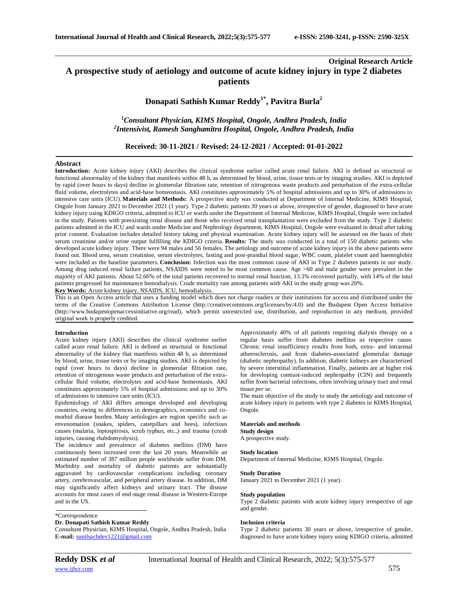# **Original Research Article A prospective study of aetiology and outcome of acute kidney injury in type 2 diabetes patients**

\_\_\_\_\_\_\_\_\_\_\_\_\_\_\_\_\_\_\_\_\_\_\_\_\_\_\_\_\_\_\_\_\_\_\_\_\_\_\_\_\_\_\_\_\_\_\_\_\_\_\_\_\_\_\_\_\_\_\_\_\_\_\_\_\_\_\_\_\_\_\_\_\_\_\_\_\_\_\_\_\_\_\_\_\_\_\_\_\_\_\_\_\_\_\_\_\_\_\_\_\_\_\_\_\_\_\_\_\_\_\_\_\_\_\_\_\_\_\_\_\_\_\_\_\_\_\_\_\_\_\_\_\_\_\_\_\_\_\_\_

# **Donapati Sathish Kumar Reddy1\* , Pavitra Burla<sup>2</sup>**

# *<sup>1</sup>Consultant Physician, KIMS Hospital, Ongole, Andhra Pradesh, India 2 Intensivist, Ramesh Sanghamitra Hospital, Ongole, Andhra Pradesh, India*

**Received: 30-11-2021 / Revised: 24-12-2021 / Accepted: 01-01-2022**

# **Abstract**

**Introduction:** Acute kidney injury (AKI) describes the clinical syndrome earlier called acute renal failure. AKI is defined as structural or functional abnormality of the kidney that manifests within 48 h, as determined by blood, urine, tissue tests or by imaging studies. AKI is depicted by rapid (over hours to days) decline in glomerular filtration rate, retention of nitrogenous waste products and perturbation of the extra-cellular fluid volume, electrolytes and acid-base homeostasis. AKI constitutes approximately 5% of hospital admissions and up to 30% of admissions to intensive care units (ICU). **Materials and Methods:** A prospective study was conducted at Department of Internal Medicine, KIMS Hospital, Ongole from January 2021 to December 2021 (1 year). Type 2 diabetic patients 30 years or above, irrespective of gender, diagnosed to have acute kidney injury using KDIGO criteria, admitted to ICU or wards under the Department of Internal Medicine, KIMS Hospital, Ongole were included in the study. Patients with preexisting renal disease and those who received renal transplantation were excluded from the study. Type 2 diabetic patients admitted in the ICU and wards under Medicine and Nephrology department, KIMS Hospital, Ongole were evaluated in detail after taking prior consent. Evaluation includes detailed history taking and physical examination. Acute kidney injury will be assessed on the basis of their serum creatinine and/or urine output fulfilling the KDIGO criteria. **Results:** The study was conducted in a total of 150 diabetic patients who developed acute kidney injury. There were 94 males and 56 females. The aetiology and outcome of acute kidney injury in the above patients were found out. Blood urea, serum creatinine, serum electrolytes, fasting and post-prandial blood sugar, WBC count, platelet count and haemoglobin were included as the baseline parameters. **Conclusion:** Infection was the most common cause of AKI in Type 2 diabetes patients in our study. Among drug induced renal failure patients, NSAIDS were noted to be most common cause. Age >60 and male gender were prevalent in the majority of AKI patients. About 52.66% of the total patients recovered to normal renal function, 13.3% recovered partially, with 14% of the total patients progressed for maintenance hemodialysis. Crude mortality rate among patients with AKI in the study group was 20%.

**Key Words:** Acute kidney injury, NSAIDS, ICU, hemodialysis.

This is an Open Access article that uses a funding model which does not charge readers or their institutions for access and distributed under the terms of the Creative Commons Attribution License (http://creativecommons.org/licenses/by/4.0) and the Budapest Open Access Initiative (http://www.budapestopenaccessinitiative.org/read), which permit unrestricted use, distribution, and reproduction in any medium, provided original work is properly credited.

## **Introduction**

Acute kidney injury (AKI) describes the clinical syndrome earlier called acute renal failure. AKI is defined as structural or functional abnormality of the kidney that manifests within 48 h, as determined by blood, urine, tissue tests or by imaging studies. AKI is depicted by rapid (over hours to days) decline in glomerular filtration rate, retention of nitrogenous waste products and perturbation of the extracellular fluid volume, electrolytes and acid-base homeostasis. AKI constitutes approximately 5% of hospital admissions and up to 30% of admissions to intensive care units (ICU).

Epidemiology of AKI differs amongst developed and developing countries, owing to differences in demographics, economics and comorbid disease burden. Many aetiologies are region specific such as envenomation (snakes, spiders, caterpillars and bees), infectious causes (malaria, leptospirosis, scrub typhus, etc.,) and trauma (crush injuries, causing rhabdomyolysis).

The incidence and prevalence of diabetes mellitus (DM) have continuously been increased over the last 20 years. Meanwhile an estimated number of 387 million people worldwide suffer from DM. Morbidity and mortality of diabetic patients are substantially aggravated by cardiovascular complications including coronary artery, cerebrovascular, and peripheral artery disease. In addition, DM may significantly affect kidneys and urinary tract. The disease accounts for most cases of end-stage renal disease in Western-Europe and in the US.

# \*Correspondence

# **Dr. Donapati Sathish Kumar Reddy**

Consultant Physician, KIMS Hospital, Ongole, Andhra Pradesh, India **E-mail:** [sunilsachdev1221@gmail.com](mailto:sunilsachdev1221@gmail.com)

Approximately 40% of all patients requiring dialysis therapy on a regular basis suffer from diabetes mellitus as respective cause. Chronic renal insufficiency results from both, extra- and intrarenal atherosclerosis, and from diabetes-associated glomerular damage (diabetic nephropathy). In addition, diabetic kidneys are characterized by severe interstitial inflammation. Finally, patients are at higher risk for developing contrast-induced nephropathy (CIN) and frequently suffer from bacterial infections, often involving urinary tract and renal tissue *per se*.

The main objective of the study to study the aetiology and outcome of acute kidney injury in patients with type 2 diabetes in KIMS Hospital, Ongole.

# **Materials and methods**

**Study design**

# A prospective study.

**Study location** Department of Internal Medicine, KIMS Hospital, Ongole.

#### **Study Duration**

January 2021 to December 2021 (1 year).

### **Study population**

Type 2 diabetic patients with acute kidney injury irrespective of age and gender.

#### **Inclusion criteria**

Type 2 diabetic patients 30 years or above, irrespective of gender, diagnosed to have acute kidney injury using KDIGO criteria, admitted

*\_\_\_\_\_\_\_\_\_\_\_\_\_\_\_\_\_\_\_\_\_\_\_\_\_\_\_\_\_\_\_\_\_\_\_\_\_\_\_\_\_\_\_\_\_\_\_\_\_\_\_\_\_\_\_\_\_\_\_\_\_\_\_\_\_\_\_\_\_\_\_\_\_\_\_\_\_\_\_\_\_\_\_\_\_\_\_\_\_\_\_\_\_\_\_\_\_\_\_\_\_\_\_\_\_\_\_\_\_\_\_\_\_\_\_\_\_\_\_\_\_\_\_\_\_\_\_\_\_\_\_\_\_\_\_\_\_\_\_\_*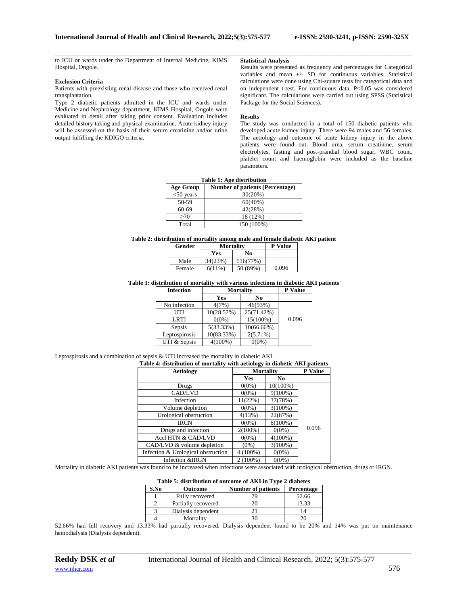\_\_\_\_\_\_\_\_\_\_\_\_\_\_\_\_\_\_\_\_\_\_\_\_\_\_\_\_\_\_\_\_\_\_\_\_\_\_\_\_\_\_\_\_\_\_\_\_\_\_\_\_\_\_\_\_\_\_\_\_\_\_\_\_\_\_\_\_\_\_\_\_\_\_\_\_\_\_\_\_\_\_\_\_\_\_\_\_\_\_\_\_\_\_\_\_\_\_\_\_\_\_\_\_\_\_\_\_\_\_\_\_\_\_\_\_\_\_\_\_\_\_\_\_\_\_\_\_\_\_\_\_\_\_\_\_\_\_\_\_ to ICU or wards under the Department of Internal Medicine, KIMS Hospital, Ongole.

## **Exclusion Criteria**

Patients with preexisting renal disease and those who received renal transplantation.

Type 2 diabetic patients admitted in the ICU and wards under Medicine and Nephrology department, KIMS Hospital, Ongole were evaluated in detail after taking prior consent. Evaluation includes detailed history taking and physical examination. Acute kidney injury will be assessed on the basis of their serum creatinine and/or urine output fulfilling the KDIGO criteria.

### **Statistical Analysis**

Results were presented as frequency and percentages for Categorical variables and mean +/- SD for continuous variables. Statistical calculations were done using Chi-square tests for categorical data and on independent t-test. For continuous data. P<0.05 was considered significant. The calculations were carried out using SPSS (Statistical Package for the Social Sciences).

## **Results**

The study was conducted in a total of 150 diabetic patients who developed acute kidney injury. There were 94 males and 56 females. The aetiology and outcome of acute kidney injury in the above patients were found out. Blood urea, serum creatinine, serum electrolytes, fasting and post-prandial blood sugar, WBC count, platelet count and haemoglobin were included as the baseline parameters.

| Table 1: Age distribution |                                        |  |  |
|---------------------------|----------------------------------------|--|--|
| <b>Age Group</b>          | <b>Number of patients (Percentage)</b> |  |  |
| $<$ 50 years              | 30(20%)                                |  |  |
| 50-59                     | 60(40%)                                |  |  |
| 60-69                     | 42(28%)                                |  |  |
| >70                       | 18 (12%)                               |  |  |
| Total                     | 150 (100%)                             |  |  |

**Table 2: distribution of mortality among male and female diabetic AKI patient**

| Gender | Mortality |          | <b>P</b> Value |
|--------|-----------|----------|----------------|
|        | Yes       | No       |                |
| Male   | 34(23%)   | 116(77%) |                |
| Female | $6(11\%)$ | 50 (89%) | 0.096          |

### **Table 3: distribution of mortality with various infections in diabetic AKI patients**

| <b>Infection</b> | Mortality  | P Value       |       |
|------------------|------------|---------------|-------|
|                  | Yes        | No            |       |
| No infection     | 4(7%)      | 46(93%)       |       |
| UTI              | 10(28.57%) | 25(71.42%)    |       |
| <b>LRTI</b>      | $0(0\%)$   | 15(100%)      | 0.096 |
| Sepsis           | 5(33.33%)  | $10(66.66\%)$ |       |
| Leptospirosis    | 10(83.33%) | $2(5.71\%)$   |       |
| UTI & Sepsis     | $4(100\%)$ | $0(0\%)$      |       |

#### Leptospirosis and a combination of sepsis & UTI increased the mortality in diabetic AKI. **Table 4: distribution of mortality with aetiology in diabetic AKI patients**

| Table 4: distribution of mortanty with actionogy in diabetic AKT patients |            |                  |       |
|---------------------------------------------------------------------------|------------|------------------|-------|
| <b>Aetiology</b>                                                          |            | <b>Mortality</b> |       |
|                                                                           | Yes        | N <sub>0</sub>   |       |
| Drugs                                                                     | $0(0\%)$   | 10(100%)         |       |
| CAD/LVD                                                                   | $0(0\%)$   | $9(100\%)$       |       |
| Infection                                                                 | 11(22%)    | 37(78%)          |       |
| Volume depletion                                                          | $0(0\%)$   | $3(100\%)$       |       |
| Urological obstruction                                                    | 4(13%)     | 22(87%)          |       |
| <b>IRCN</b>                                                               | $0(0\%)$   | $6(100\%)$       |       |
| Drugs and infection                                                       | $2(100\%)$ | $0(0\%)$         | 0.096 |
| Accl HTN & CAD/LVD                                                        | $0(0\%)$   | $4(100\%)$       |       |
| $CAD/LVD$ & volume depletion                                              | $(0\%)$    | $3(100\%)$       |       |
| Infection & Urological obstruction                                        | $4(100\%)$ | $0(0\%)$         |       |
| Infection &IRGN                                                           | $2(100\%)$ | $0(0\%)$         |       |

Mortality in diabetic AKI patients was found to be increased when infections were associated with urological obstruction, drugs or IRGN.

| Table 5: distribution of outcome of AKI in Type 2 diabetes |  |  |
|------------------------------------------------------------|--|--|
|------------------------------------------------------------|--|--|

| S.No | <b>Outcome</b>      | <b>Number of patients</b> | Percentage |
|------|---------------------|---------------------------|------------|
|      | Fully recovered     |                           | 52.66      |
|      | Partially recovered |                           | 13.33      |
|      | Dialysis dependent  |                           |            |
|      | Mortality           |                           |            |

52.66% had full recovery and 13.33% had partially recovered. Dialysis dependent found to be 20% and 14% was put on maintenance hemodialysis (Dialysis dependent).

*\_\_\_\_\_\_\_\_\_\_\_\_\_\_\_\_\_\_\_\_\_\_\_\_\_\_\_\_\_\_\_\_\_\_\_\_\_\_\_\_\_\_\_\_\_\_\_\_\_\_\_\_\_\_\_\_\_\_\_\_\_\_\_\_\_\_\_\_\_\_\_\_\_\_\_\_\_\_\_\_\_\_\_\_\_\_\_\_\_\_\_\_\_\_\_\_\_\_\_\_\_\_\_\_\_\_\_\_\_\_\_\_\_\_\_\_\_\_\_\_\_\_\_\_\_\_\_\_\_\_\_\_\_\_\_\_\_\_\_\_*